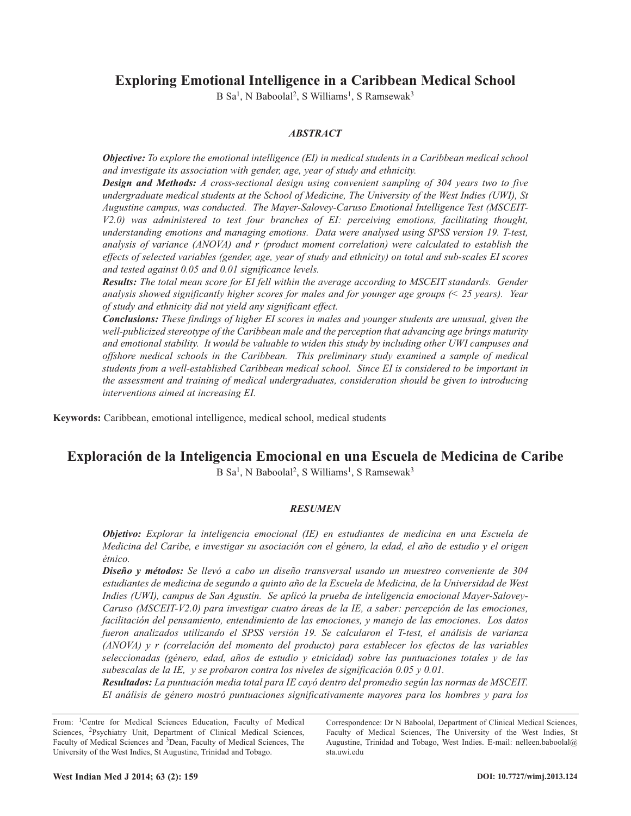# **Exploring Emotional Intelligence in a Caribbean Medical School**

B Sa<sup>1</sup>, N Baboolal<sup>2</sup>, S Williams<sup>1</sup>, S Ramsewak<sup>3</sup>

## *ABSTRACT*

*Objective: To explore the emotional intelligence (EI) in medical students in a Caribbean medical school and investigate its association with gender, age, year of study and ethnicity.*

*Design and Methods: A cross-sectional design using convenient sampling of 304 years two to five undergraduate medical students at the School of Medicine, The University of the West Indies (UWI), St Augustine campus, was conducted. The Mayer-Salovey-Caruso Emotional Intelligence Test (MSCEIT-V2.0) was administered to test four branches of EI: perceiving emotions, facilitating thought, understanding emotions and managing emotions. Data were analysed using SPSS version 19. T-test, analysis of variance (ANOVA) and r (product moment correlation) were calculated to establish the* effects of selected variables (gender, age, year of study and ethnicity) on total and sub-scales EI scores *and tested against 0.05 and 0.01 significance levels.*

*Results: The total mean score for EI fell within the average according to MSCEIT standards. Gender analysis showed significantly higher scores for males and for younger age groups (< 25 years). Year of study and ethnicity did not yield any significant effect.*

*Conclusions: These findings of higher EI scores in males and younger students are unusual, given the well-publicized stereotype of the Caribbean male and the perception that advancing age brings maturity and emotional stability. It would be valuable to widen this study by including other UWI campuses and offshore medical schools in the Caribbean. This preliminary study examined a sample of medical students from a well-established Caribbean medical school. Since EI is considered to be important in the assessment and training of medical undergraduates, consideration should be given to introducing interventions aimed at increasing EI.*

**Keywords:** Caribbean, emotional intelligence, medical school, medical students

# **Exploración de la Inteligencia Emocional en una Escuela de Medicina de Caribe**

B Sa<sup>1</sup>, N Baboolal<sup>2</sup>, S Williams<sup>1</sup>, S Ramsewak<sup>3</sup>

### *RESUMEN*

*Objetivo: Explorar la inteligencia emocional (IE) en estudiantes de medicina en una Escuela de* Medicina del Caribe, e investigar su asociación con el género, la edad, el año de estudio y el origen *étnico.*

*Diseño y métodos: Se llevó a cabo un diseño transversal usando un muestreo conveniente de 304* estudiantes de medicina de segundo a quinto año de la Escuela de Medicina, de la Universidad de West *Indies (UWI), campus de San Agustín. Se aplicó la prueba de inteligencia emocional Mayer-Salovey-Caruso (MSCEIT-V2.0) para investigar cuatro áreas de la IE, a saber: percepción de las emociones, facilitación del pensamiento, entendimiento de las emociones, y manejo de las emociones. Los datos fueron analizados utilizando el SPSS versión 19. Se calcularon el T-test, el análisis de varianza (ANOVA) y r (correlación del momento del producto) para establecer los efectos de las variables seleccionadas (género, edad, años de estudio y etnicidad) sobre las puntuaciones totales y de las subescalas de la IE, y se probaron contra los niveles de significación 0.05 y 0.01.*

*Resultados: La puntuación media total para IE cayó dentro del promedio según las normas de MSCEIT. El análisis de género mostró puntuaciones significativamente mayores para los hombres y para los*

From: 1Centre for Medical Sciences Education, Faculty of Medical Sciences, <sup>2</sup>Psychiatry Unit, Department of Clinical Medical Sciences, Faculty of Medical Sciences and 3Dean, Faculty of Medical Sciences, The University of the West Indies, St Augustine, Trinidad and Tobago.

Correspondence: Dr N Baboolal, Department of Clinical Medical Sciences, Faculty of Medical Sciences, The University of the West Indies, St Augustine, Trinidad and Tobago, West Indies. E-mail: nelleen.baboolal@ sta uwi edu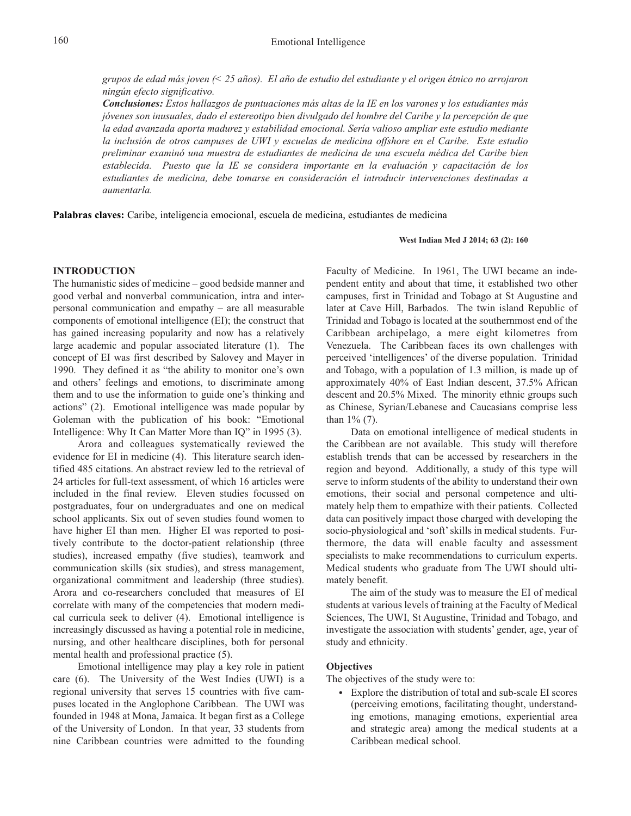grupos de edad más joven  $\ll$  25 años). El año de estudio del estudiante y el origen étnico no arrojaron *ningún efecto significativo.*

*Conclusiones: Estos hallazgos de puntuaciones más altas de la IE en los varones y los estudiantes más jóvenes son inusuales, dado el estereotipo bien divulgado del hombre del Caribe y la percepción de que la edad avanzada aporta madurez y estabilidad emocional. Sería valioso ampliar este estudio mediante la inclusión de otros campuses de UWI y escuelas de medicina offshore en el Caribe. Este estudio preliminar examinó una muestra de estudiantes de medicina de una escuela médica del Caribe bien establecida. Puesto que la IE se considera importante en la evaluación y capacitación de los estudiantes de medicina, debe tomarse en consideración el introducir intervenciones destinadas a aumentarla.*

**Palabras claves:** Caribe, inteligencia emocional, escuela de medicina, estudiantes de medicina

#### **West Indian Med J 2014; 63 (2): 160**

### **INTRODUCTION**

The humanistic sides of medicine – good bedside manner and good verbal and nonverbal communication, intra and interpersonal communication and empathy – are all measurable components of emotional intelligence (EI); the construct that has gained increasing popularity and now has a relatively large academic and popular associated literature (1). The concept of EI was first described by Salovey and Mayer in 1990. They defined it as "the ability to monitor one's own and others' feelings and emotions, to discriminate among them and to use the information to guide one's thinking and actions" (2). Emotional intelligence was made popular by Goleman with the publication of his book: "Emotional Intelligence: Why It Can Matter More than IQ" in 1995 (3).

Arora and colleagues systematically reviewed the evidence for EI in medicine (4). This literature search identified 485 citations. An abstract review led to the retrieval of 24 articles for full-text assessment, of which 16 articles were included in the final review. Eleven studies focussed on postgraduates, four on undergraduates and one on medical school applicants. Six out of seven studies found women to have higher EI than men. Higher EI was reported to positively contribute to the doctor-patient relationship (three studies), increased empathy (five studies), teamwork and communication skills (six studies), and stress management, organizational commitment and leadership (three studies). Arora and co-researchers concluded that measures of EI correlate with many of the competencies that modern medical curricula seek to deliver (4). Emotional intelligence is increasingly discussed as having a potential role in medicine, nursing, and other healthcare disciplines, both for personal mental health and professional practice (5).

Emotional intelligence may play a key role in patient care (6). The University of the West Indies (UWI) is a regional university that serves 15 countries with five campuses located in the Anglophone Caribbean. The UWI was founded in 1948 at Mona, Jamaica. It began first as a College of the University of London. In that year, 33 students from nine Caribbean countries were admitted to the founding

Faculty of Medicine. In 1961, The UWI became an independent entity and about that time, it established two other campuses, first in Trinidad and Tobago at St Augustine and later at Cave Hill, Barbados. The twin island Republic of Trinidad and Tobago is located at the southernmost end of the Caribbean archipelago, a mere eight kilometres from Venezuela. The Caribbean faces its own challenges with perceived 'intelligences' of the diverse population. Trinidad and Tobago, with a population of 1.3 million, is made up of approximately 40% of East Indian descent, 37.5% African descent and 20.5% Mixed. The minority ethnic groups such as Chinese, Syrian/Lebanese and Caucasians comprise less than 1% (7).

Data on emotional intelligence of medical students in the Caribbean are not available. This study will therefore establish trends that can be accessed by researchers in the region and beyond. Additionally, a study of this type will serve to inform students of the ability to understand their own emotions, their social and personal competence and ultimately help them to empathize with their patients. Collected data can positively impact those charged with developing the socio-physiological and 'soft'skills in medical students. Furthermore, the data will enable faculty and assessment specialists to make recommendations to curriculum experts. Medical students who graduate from The UWI should ultimately benefit.

The aim of the study was to measure the EI of medical students at various levels of training at the Faculty of Medical Sciences, The UWI, St Augustine, Trinidad and Tobago, and investigate the association with students' gender, age, year of study and ethnicity.

## **Objectives**

The objectives of the study were to:

• Explore the distribution of total and sub-scale EI scores (perceiving emotions, facilitating thought, understanding emotions, managing emotions, experiential area and strategic area) among the medical students at a Caribbean medical school.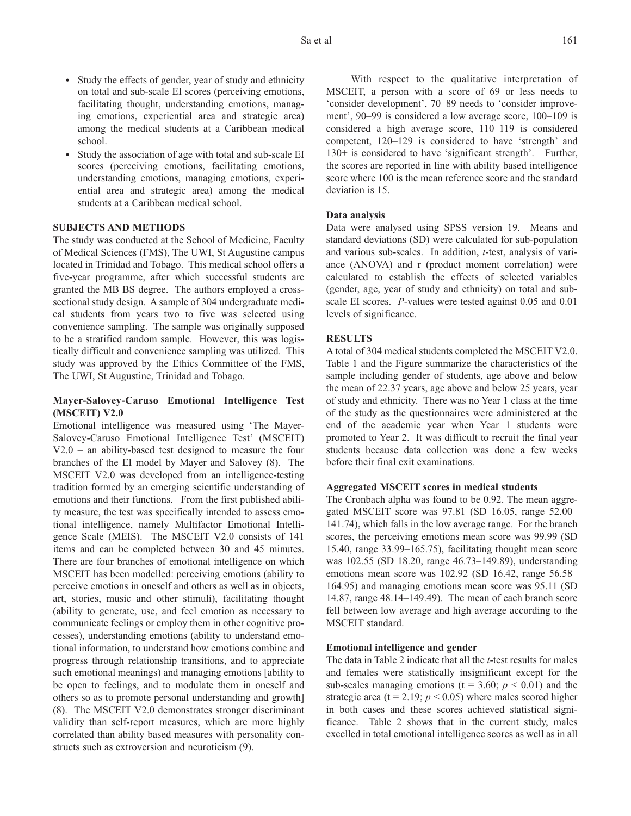- Study the effects of gender, year of study and ethnicity on total and sub-scale EI scores (perceiving emotions, facilitating thought, understanding emotions, managing emotions, experiential area and strategic area) among the medical students at a Caribbean medical school.
- Study the association of age with total and sub-scale EI scores (perceiving emotions, facilitating emotions, understanding emotions, managing emotions, experiential area and strategic area) among the medical students at a Caribbean medical school.

## **SUBJECTS AND METHODS**

The study was conducted at the School of Medicine, Faculty of Medical Sciences (FMS), The UWI, St Augustine campus located in Trinidad and Tobago. This medical school offers a five-year programme, after which successful students are granted the MB BS degree. The authors employed a crosssectional study design. A sample of 304 undergraduate medical students from years two to five was selected using convenience sampling. The sample was originally supposed to be a stratified random sample. However, this was logistically difficult and convenience sampling was utilized. This study was approved by the Ethics Committee of the FMS, The UWI, St Augustine, Trinidad and Tobago.

## **Mayer-Salovey-Caruso Emotional Intelligence Test (MSCEIT) V2.0**

Emotional intelligence was measured using 'The Mayer-Salovey-Caruso Emotional Intelligence Test' (MSCEIT) V2.0 – an ability-based test designed to measure the four branches of the EI model by Mayer and Salovey (8). The MSCEIT V2.0 was developed from an intelligence-testing tradition formed by an emerging scientific understanding of emotions and their functions. From the first published ability measure, the test was specifically intended to assess emotional intelligence, namely Multifactor Emotional Intelligence Scale (MEIS). The MSCEIT V2.0 consists of 141 items and can be completed between 30 and 45 minutes. There are four branches of emotional intelligence on which MSCEIT has been modelled: perceiving emotions (ability to perceive emotions in oneself and others as well as in objects, art, stories, music and other stimuli), facilitating thought (ability to generate, use, and feel emotion as necessary to communicate feelings or employ them in other cognitive processes), understanding emotions (ability to understand emotional information, to understand how emotions combine and progress through relationship transitions, and to appreciate such emotional meanings) and managing emotions [ability to be open to feelings, and to modulate them in oneself and others so as to promote personal understanding and growth] (8). The MSCEIT V2.0 demonstrates stronger discriminant validity than self-report measures, which are more highly correlated than ability based measures with personality constructs such as extroversion and neuroticism (9).

With respect to the qualitative interpretation of MSCEIT, a person with a score of 69 or less needs to 'consider development', 70–89 needs to 'consider improvement', 90–99 is considered a low average score, 100–109 is considered a high average score, 110–119 is considered competent, 120–129 is considered to have 'strength' and 130+ is considered to have 'significant strength'. Further, the scores are reported in line with ability based intelligence score where 100 is the mean reference score and the standard deviation is 15.

#### **Data analysis**

Data were analysed using SPSS version 19. Means and standard deviations (SD) were calculated for sub-population and various sub-scales. In addition, *t*-test, analysis of variance (ANOVA) and r (product moment correlation) were calculated to establish the effects of selected variables (gender, age, year of study and ethnicity) on total and subscale EI scores. *P*-values were tested against 0.05 and 0.01 levels of significance.

#### **RESULTS**

A total of 304 medical students completed the MSCEIT V2.0. Table 1 and the Figure summarize the characteristics of the sample including gender of students, age above and below the mean of 22.37 years, age above and below 25 years, year of study and ethnicity. There was no Year 1 class at the time of the study as the questionnaires were administered at the end of the academic year when Year 1 students were promoted to Year 2. It was difficult to recruit the final year students because data collection was done a few weeks before their final exit examinations.

### **Aggregated MSCEIT scores in medical students**

The Cronbach alpha was found to be 0.92. The mean aggregated MSCEIT score was 97.81 (SD 16.05, range 52.00– 141.74), which falls in the low average range. For the branch scores, the perceiving emotions mean score was 99.99 (SD 15.40, range 33.99–165.75), facilitating thought mean score was 102.55 (SD 18.20, range 46.73–149.89), understanding emotions mean score was 102.92 (SD 16.42, range 56.58– 164.95) and managing emotions mean score was 95.11 (SD 14.87, range 48.14–149.49). The mean of each branch score fell between low average and high average according to the MSCEIT standard.

## **Emotional intelligence and gender**

The data in Table 2 indicate that all the *t*-test results for males and females were statistically insignificant except for the sub-scales managing emotions ( $t = 3.60$ ;  $p < 0.01$ ) and the strategic area ( $t = 2.19$ ;  $p < 0.05$ ) where males scored higher in both cases and these scores achieved statistical significance. Table 2 shows that in the current study, males excelled in total emotional intelligence scores as well as in all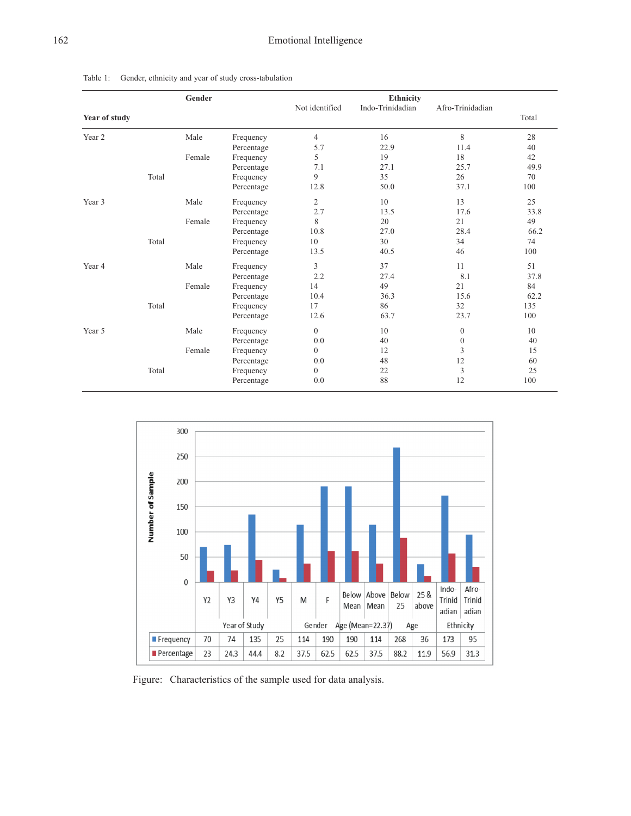|               |       | Gender |            |                |                               |                  |       |
|---------------|-------|--------|------------|----------------|-------------------------------|------------------|-------|
|               |       |        |            | Not identified | Ethnicity<br>Indo-Trinidadian | Afro-Trinidadian |       |
| Year of study |       |        |            |                |                               |                  | Total |
| Year 2        |       | Male   | Frequency  | $\overline{4}$ | 16                            | 8                | 28    |
|               |       |        | Percentage | 5.7            | 22.9                          | 11.4             | 40    |
|               |       | Female | Frequency  | 5              | 19                            | 18               | 42    |
|               |       |        | Percentage | 7.1            | 27.1                          | 25.7             | 49.9  |
|               | Total |        | Frequency  | 9              | 35                            | 26               | 70    |
|               |       |        | Percentage | 12.8           | 50.0                          | 37.1             | 100   |
| Year 3        |       | Male   | Frequency  | $\overline{c}$ | 10                            | 13               | 25    |
|               |       |        | Percentage | 2.7            | 13.5                          | 17.6             | 33.8  |
|               |       | Female | Frequency  | 8              | 20                            | 21               | 49    |
|               |       |        | Percentage | 10.8           | 27.0                          | 28.4             | 66.2  |
|               | Total |        | Frequency  | 10             | 30                            | 34               | 74    |
|               |       |        | Percentage | 13.5           | 40.5                          | 46               | 100   |
| Year 4        |       | Male   | Frequency  | 3              | 37                            | 11               | 51    |
|               |       |        | Percentage | 2.2            | 27.4                          | 8.1              | 37.8  |
|               |       | Female | Frequency  | 14             | 49                            | 21               | 84    |
|               |       |        | Percentage | 10.4           | 36.3                          | 15.6             | 62.2  |
|               | Total |        | Frequency  | 17             | 86                            | 32               | 135   |
|               |       |        | Percentage | 12.6           | 63.7                          | 23.7             | 100   |
| Year 5        |       | Male   | Frequency  | $\mathbf{0}$   | 10                            | $\mathbf{0}$     | 10    |
|               |       |        | Percentage | 0.0            | 40                            | $\mathbf{0}$     | 40    |
|               |       | Female | Frequency  | $\overline{0}$ | 12                            | 3                | 15    |
|               |       |        | Percentage | 0.0            | 48                            | 12               | 60    |
|               | Total |        | Frequency  | $\overline{0}$ | 22                            | 3                | 25    |
|               |       |        | Percentage | 0.0            | 88                            | 12               | 100   |





Figure: Characteristics of the sample used for data analysis.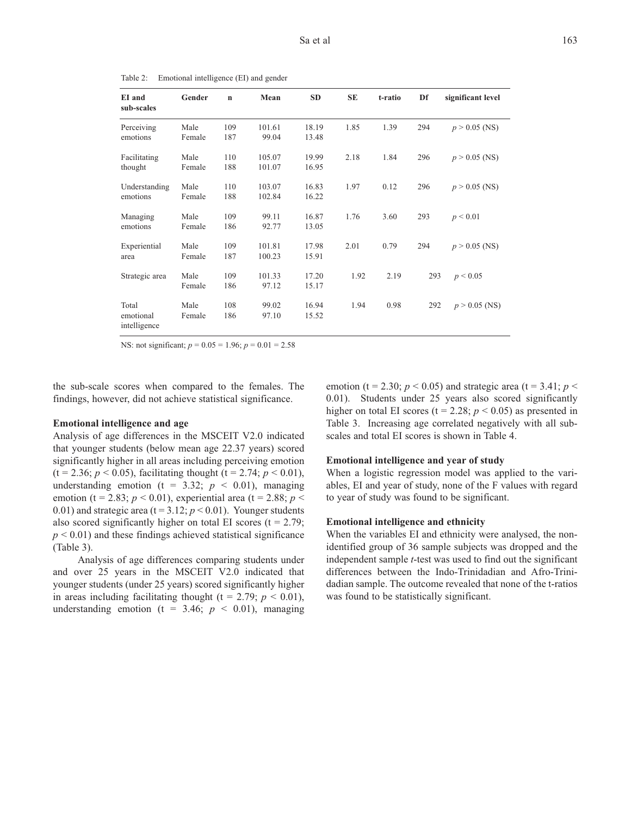| EI and<br>sub-scales               | Gender         | $\mathbf n$ | Mean             | <b>SD</b>      | <b>SE</b> | t-ratio | Df  | significant level |
|------------------------------------|----------------|-------------|------------------|----------------|-----------|---------|-----|-------------------|
| Perceiving<br>emotions             | Male<br>Female | 109<br>187  | 101.61<br>99.04  | 18.19<br>13.48 | 1.85      | 1.39    | 294 | $p > 0.05$ (NS)   |
| Facilitating<br>thought            | Male<br>Female | 110<br>188  | 105.07<br>101.07 | 19.99<br>16.95 | 2.18      | 1.84    | 296 | $p > 0.05$ (NS)   |
| Understanding<br>emotions          | Male<br>Female | 110<br>188  | 103.07<br>102.84 | 16.83<br>16.22 | 1.97      | 0.12    | 296 | $p > 0.05$ (NS)   |
| Managing<br>emotions               | Male<br>Female | 109<br>186  | 99.11<br>92.77   | 16.87<br>13.05 | 1.76      | 3.60    | 293 | p < 0.01          |
| Experiential<br>area               | Male<br>Female | 109<br>187  | 101.81<br>100.23 | 17.98<br>15.91 | 2.01      | 0.79    | 294 | $p > 0.05$ (NS)   |
| Strategic area                     | Male<br>Female | 109<br>186  | 101.33<br>97.12  | 17.20<br>15.17 | 1.92      | 2.19    | 293 | p < 0.05          |
| Total<br>emotional<br>intelligence | Male<br>Female | 108<br>186  | 99.02<br>97.10   | 16.94<br>15.52 | 1.94      | 0.98    | 292 | $p > 0.05$ (NS)   |

Table 2: Emotional intelligence (EI) and gender

NS: not significant; *p* = 0.05 = 1.96; *p* = 0.01 = 2.58

the sub-scale scores when compared to the females. The findings, however, did not achieve statistical significance.

#### **Emotional intelligence and age**

Analysis of age differences in the MSCEIT V2.0 indicated that younger students (below mean age 22.37 years) scored significantly higher in all areas including perceiving emotion  $(t = 2.36; p < 0.05)$ , facilitating thought  $(t = 2.74; p < 0.01)$ , understanding emotion ( $t = 3.32$ ;  $p < 0.01$ ), managing emotion (t = 2.83;  $p < 0.01$ ), experiential area (t = 2.88;  $p <$ 0.01) and strategic area ( $t = 3.12$ ;  $p < 0.01$ ). Younger students also scored significantly higher on total EI scores ( $t = 2.79$ ;  $p < 0.01$ ) and these findings achieved statistical significance (Table 3).

Analysis of age differences comparing students under and over 25 years in the MSCEIT V2.0 indicated that younger students (under 25 years) scored significantly higher in areas including facilitating thought ( $t = 2.79$ ;  $p < 0.01$ ), understanding emotion ( $t = 3.46$ ;  $p < 0.01$ ), managing emotion (t = 2.30;  $p < 0.05$ ) and strategic area (t = 3.41;  $p <$ 0.01). Students under 25 years also scored significantly higher on total EI scores ( $t = 2.28$ ;  $p < 0.05$ ) as presented in Table 3. Increasing age correlated negatively with all subscales and total EI scores is shown in Table 4.

### **Emotional intelligence and year of study**

When a logistic regression model was applied to the variables, EI and year of study, none of the F values with regard to year of study was found to be significant.

#### **Emotional intelligence and ethnicity**

When the variables EI and ethnicity were analysed, the nonidentified group of 36 sample subjects was dropped and the independent sample *t*-test was used to find out the significant differences between the Indo-Trinidadian and Afro-Trinidadian sample. The outcome revealed that none of the t-ratios was found to be statistically significant.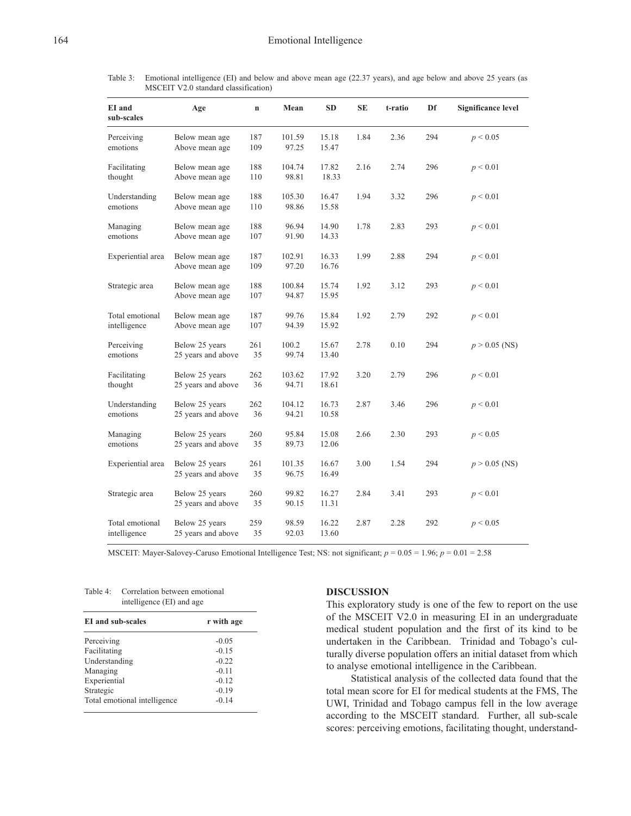Table 3: Emotional intelligence (EI) and below and above mean age (22.37 years), and age below and above 25 years (as MSCEIT V2.0 standard classification)

| EI and<br>sub-scales            | Age                                  | $\mathbf n$ | Mean            | <b>SD</b>      | SE   | t-ratio | Df  | <b>Significance level</b> |
|---------------------------------|--------------------------------------|-------------|-----------------|----------------|------|---------|-----|---------------------------|
| Perceiving<br>emotions          | Below mean age<br>Above mean age     | 187<br>109  | 101.59<br>97.25 | 15.18<br>15.47 | 1.84 | 2.36    | 294 | p < 0.05                  |
| Facilitating<br>thought         | Below mean age<br>Above mean age     | 188<br>110  | 104.74<br>98.81 | 17.82<br>18.33 | 2.16 | 2.74    | 296 | p < 0.01                  |
| Understanding<br>emotions       | Below mean age<br>Above mean age     | 188<br>110  | 105.30<br>98.86 | 16.47<br>15.58 | 1.94 | 3.32    | 296 | p < 0.01                  |
| Managing<br>emotions            | Below mean age<br>Above mean age     | 188<br>107  | 96.94<br>91.90  | 14.90<br>14.33 | 1.78 | 2.83    | 293 | p < 0.01                  |
| Experiential area               | Below mean age<br>Above mean age     | 187<br>109  | 102.91<br>97.20 | 16.33<br>16.76 | 1.99 | 2.88    | 294 | p < 0.01                  |
| Strategic area                  | Below mean age<br>Above mean age     | 188<br>107  | 100.84<br>94.87 | 15.74<br>15.95 | 1.92 | 3.12    | 293 | p < 0.01                  |
| Total emotional<br>intelligence | Below mean age<br>Above mean age     | 187<br>107  | 99.76<br>94.39  | 15.84<br>15.92 | 1.92 | 2.79    | 292 | p < 0.01                  |
| Perceiving<br>emotions          | Below 25 years<br>25 years and above | 261<br>35   | 100.2<br>99.74  | 15.67<br>13.40 | 2.78 | 0.10    | 294 | $p > 0.05$ (NS)           |
| Facilitating<br>thought         | Below 25 years<br>25 years and above | 262<br>36   | 103.62<br>94.71 | 17.92<br>18.61 | 3.20 | 2.79    | 296 | p < 0.01                  |
| Understanding<br>emotions       | Below 25 years<br>25 years and above | 262<br>36   | 104.12<br>94.21 | 16.73<br>10.58 | 2.87 | 3.46    | 296 | p < 0.01                  |
| Managing<br>emotions            | Below 25 years<br>25 years and above | 260<br>35   | 95.84<br>89.73  | 15.08<br>12.06 | 2.66 | 2.30    | 293 | p < 0.05                  |
| Experiential area               | Below 25 years<br>25 years and above | 261<br>35   | 101.35<br>96.75 | 16.67<br>16.49 | 3.00 | 1.54    | 294 | $p > 0.05$ (NS)           |
| Strategic area                  | Below 25 years<br>25 years and above | 260<br>35   | 99.82<br>90.15  | 16.27<br>11.31 | 2.84 | 3.41    | 293 | $p \leq 0.01$             |
| Total emotional<br>intelligence | Below 25 years<br>25 years and above | 259<br>35   | 98.59<br>92.03  | 16.22<br>13.60 | 2.87 | 2.28    | 292 | p < 0.05                  |

MSCEIT: Mayer-Salovey-Caruso Emotional Intelligence Test; NS: not significant; *p* = 0.05 = 1.96; *p* = 0.01 = 2.58

Table 4: Correlation between emotional intelligence (EI) and age

| EI and sub-scales            | r with age |
|------------------------------|------------|
| Perceiving                   | $-0.05$    |
| Facilitating                 | $-0.15$    |
| Understanding                | $-0.22$    |
| Managing                     | $-0.11$    |
| Experiential                 | $-0.12$    |
| Strategic                    | $-0.19$    |
| Total emotional intelligence | $-0.14$    |

## **DISCUSSION**

This exploratory study is one of the few to report on the use of the MSCEIT V2.0 in measuring EI in an undergraduate medical student population and the first of its kind to be undertaken in the Caribbean. Trinidad and Tobago's culturally diverse population offers an initial dataset from which to analyse emotional intelligence in the Caribbean.

Statistical analysis of the collected data found that the total mean score for EI for medical students at the FMS, The UWI, Trinidad and Tobago campus fell in the low average according to the MSCEIT standard. Further, all sub-scale scores: perceiving emotions, facilitating thought, understand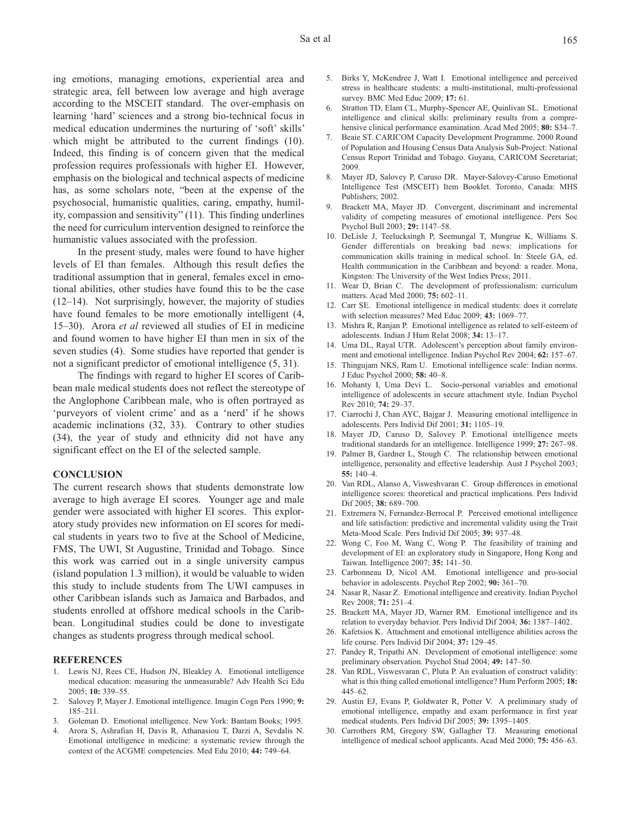ing emotions, managing emotions, experiential area and strategic area, fell between low average and high average according to the MSCEIT standard. The over-emphasis on learning 'hard' sciences and a strong bio-technical focus in medical education undermines the nurturing of 'soft' skills' which might be attributed to the current findings (10). Indeed, this finding is of concern given that the medical profession requires professionals with higher EI. However, emphasis on the biological and technical aspects of medicine has, as some scholars note, "been at the expense of the psychosocial, humanistic qualities, caring, empathy, humility, compassion and sensitivity" (11). This finding underlines the need for curriculum intervention designed to reinforce the humanistic values associated with the profession.

In the present study, males were found to have higher levels of EI than females. Although this result defies the traditional assumption that in general, females excel in emotional abilities, other studies have found this to be the case (12–14). Not surprisingly, however, the majority of studies have found females to be more emotionally intelligent (4, 15–30). Arora *et al* reviewed all studies of EI in medicine and found women to have higher EI than men in six of the seven studies (4). Some studies have reported that gender is not a significant predictor of emotional intelligence (5, 31).

The findings with regard to higher EI scores of Caribbean male medical students does not reflect the stereotype of the Anglophone Caribbean male, who is often portrayed as 'purveyors of violent crime' and as a 'nerd' if he shows academic inclinations (32, 33). Contrary to other studies (34), the year of study and ethnicity did not have any significant effect on the EI of the selected sample.

#### **CONCLUSION**

The current research shows that students demonstrate low average to high average EI scores. Younger age and male gender were associated with higher EI scores. This exploratory study provides new information on EI scores for medical students in years two to five at the School of Medicine, FMS, The UWI, St Augustine, Trinidad and Tobago. Since this work was carried out in a single university campus (island population 1.3 million), it would be valuable to widen this study to include students from The UWI campuses in other Caribbean islands such as Jamaica and Barbados, and students enrolled at offshore medical schools in the Caribbean. Longitudinal studies could be done to investigate changes as students progress through medical school.

#### **REFERENCES**

- 1. Lewis NJ, Rees CE, Hudson JN, Bleakley A. Emotional intelligence medical education: measuring the unmeasurable? Adv Health Sci Edu 2005; **10:** 339–55.
- 2. Salovey P, Mayer J. Emotional intelligence. Imagin Cogn Pers 1990; **9:** 185–211.
- 3. Goleman D. Emotional intelligence. New York: Bantam Books; 1995.
- 4. Arora S, Ashrafian H, Davis R, Athanasiou T, Darzi A, Sevdalis N. Emotional intelligence in medicine: a systematic review through the context of the ACGME competencies. Med Edu 2010; **44:** 749–64.
- 5. Birks Y, McKendree J, Watt I. Emotional intelligence and perceived stress in healthcare students: a multi-institutional, multi-professional survey. BMC Med Educ 2009; **17:** 61.
- 6. Stratton TD, Elam CL, Murphy-Spencer AE, Quinlivan SL. Emotional intelligence and clinical skills: preliminary results from a comprehensive clinical performance examination. Acad Med 2005; **80:** S34–7.
- 7. Beaie ST. CARICOM Capacity Development Programme. 2000 Round of Population and Housing Census Data Analysis Sub-Project: National Census Report Trinidad and Tobago. Guyana, CARICOM Secretariat; 2009.
- 8. Mayer JD, Salovey P, Caruso DR. Mayer-Salovey-Caruso Emotional Intelligence Test (MSCEIT) Item Booklet. Toronto, Canada: MHS Publishers; 2002.
- 9. Brackett MA, Mayer JD. Convergent, discriminant and incremental validity of competing measures of emotional intelligence. Pers Soc Psychol Bull 2003; **29:** 1147–58.
- 10. DeLisle J, Teelucksingh P, Seemungal T, Mungrue K, Williams S. Gender differentials on breaking bad news: implications for communication skills training in medical school. In: Steele GA, ed. Health communication in the Caribbean and beyond: a reader. Mona, Kingston: The University of the West Indies Press; 2011.
- 11. Wear D, Brian C. The development of professionalism: curriculum matters. Acad Med 2000; **75:** 602–11.
- 12. Carr SE. Emotional intelligence in medical students: does it correlate with selection measures? Med Educ 2009; **43:** 1069–77.
- 13. Mishra R, Ranjan P. Emotional intelligence as related to self-esteem of adolescents. Indian J Hum Relat 2008; **34:** 13–17.
- 14. Uma DL, Rayal UTR. Adolescent's perception about family environment and emotional intelligence. Indian Psychol Rev 2004; **62:** 157–67.
- 15. Thingujam NKS, Ram U. Emotional intelligence scale: Indian norms. J Educ Psychol 2000; **58:** 40–8.
- 16. Mohanty I, Uma Devi L. Socio-personal variables and emotional intelligence of adolescents in secure attachment style. Indian Psychol Rev 2010; **74:** 29–37.
- 17. Ciarrochi J, Chan AYC, Bajgar J. Measuring emotional intelligence in adolescents. Pers Individ Dif 2001; **31:** 1105–19.
- 18. Mayer JD, Caruso D, Salovey P. Emotional intelligence meets traditional standards for an intelligence. Intelligence 1999; **27:** 267–98.
- 19. Palmer B, Gardner L, Stough C. The relationship between emotional intelligence, personality and effective leadership. Aust J Psychol 2003; **55:** 140–4.
- 20. Van RDL, Alanso A, Visweshvaran C. Group differences in emotional intelligence scores: theoretical and practical implications. Pers Individ Dif 2005; **38:** 689–700.
- 21. Extremera N, Fernandez-Berrocal P. Perceived emotional intelligence and life satisfaction: predictive and incremental validity using the Trait Meta-Mood Scale. Pers Individ Dif 2005; **39:** 937–48.
- 22. Wong C, Foo M, Wang C, Wong P. The feasibility of training and development of EI: an exploratory study in Singapore, Hong Kong and Taiwan. Intelligence 2007; **35:** 141–50.
- 23. Carbonneau D, Nicol AM. Emotional intelligence and pro-social behavior in adolescents. Psychol Rep 2002; **90:** 361–70.
- 24. Nasar R, Nasar Z. Emotional intelligence and creativity. Indian Psychol Rev 2008; **71:** 251–4.
- 25. Brackett MA, Mayer JD, Warner RM. Emotional intelligence and its relation to everyday behavior. Pers Individ Dif 2004; **36:** 1387–1402.
- 26. Kafetsios K. Attachment and emotional intelligence abilities across the life course. Pers Individ Dif 2004; **37:** 129–45.
- 27. Pandey R, Tripathi AN. Development of emotional intelligence: some preliminary observation. Psychol Stud 2004; **49:** 147–50.
- 28. Van RDL, Viswesvaran C, Pluta P. An evaluation of construct validity: what is this thing called emotional intelligence? Hum Perform 2005; **18:** 445–62.
- 29. Austin EJ, Evans P, Goldwater R, Potter V. A preliminary study of emotional intelligence, empathy and exam performance in first year medical students. Pers Individ Dif 2005; **39:** 1395–1405.
- 30. Carrothers RM, Gregory SW, Gallagher TJ. Measuring emotional intelligence of medical school applicants. Acad Med 2000; **75:** 456–63.